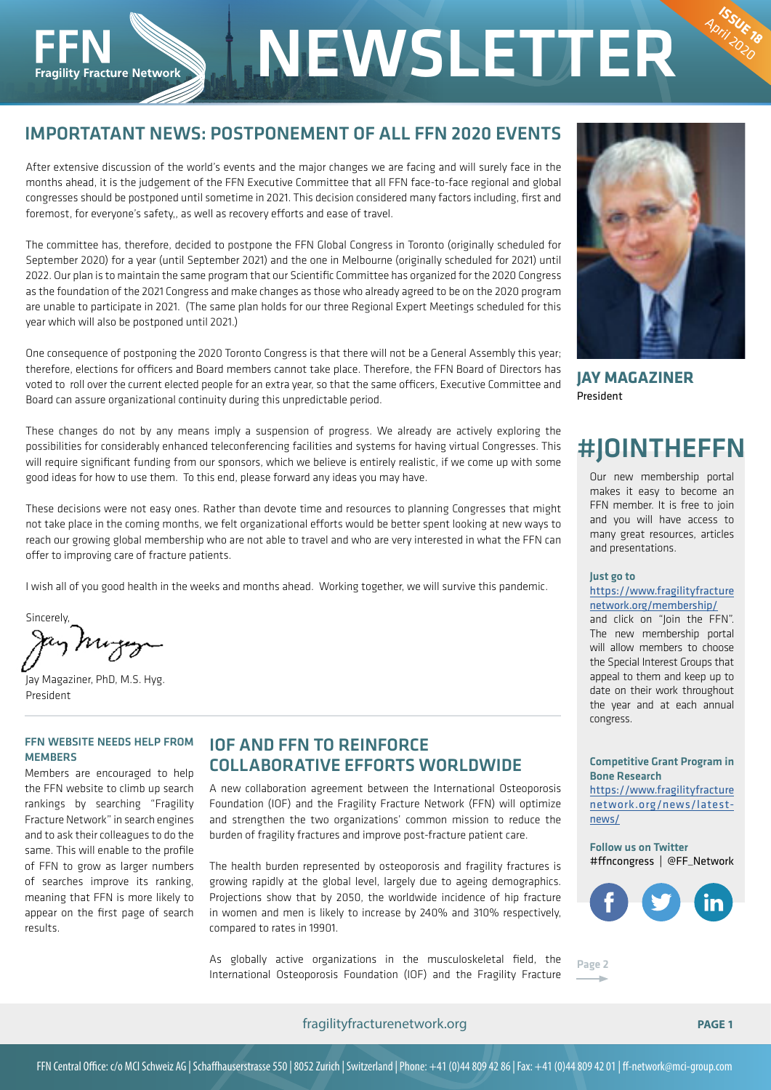# IMPORTATANT NEWS: POSTPONEMENT OF ALL FFN 2020 EVENTS

**NEWSLETTER** 

After extensive discussion of the world's events and the major changes we are facing and will surely face in the months ahead, it is the judgement of the FFN Executive Committee that all FFN face-to-face regional and global congresses should be postponed until sometime in 2021. This decision considered many factors including, first and foremost, for everyone's safety,, as well as recovery efforts and ease of travel.

The committee has, therefore, decided to postpone the FFN Global Congress in Toronto (originally scheduled for September 2020) for a year (until September 2021) and the one in Melbourne (originally scheduled for 2021) until 2022. Our plan is to maintain the same program that our Scientific Committee has organized for the 2020 Congress as the foundation of the 2021 Congress and make changes as those who already agreed to be on the 2020 program are unable to participate in 2021. (The same plan holds for our three Regional Expert Meetings scheduled for this year which will also be postponed until 2021.)

One consequence of postponing the 2020 Toronto Congress is that there will not be a General Assembly this year; therefore, elections for officers and Board members cannot take place. Therefore, the FFN Board of Directors has voted to roll over the current elected people for an extra year, so that the same officers, Executive Committee and Board can assure organizational continuity during this unpredictable period.

These changes do not by any means imply a suspension of progress. We already are actively exploring the possibilities for considerably enhanced teleconferencing facilities and systems for having virtual Congresses. This will require significant funding from our sponsors, which we believe is entirely realistic, if we come up with some good ideas for how to use them. To this end, please forward any ideas you may have.

These decisions were not easy ones. Rather than devote time and resources to planning Congresses that might not take place in the coming months, we felt organizational efforts would be better spent looking at new ways to reach our growing global membership who are not able to travel and who are very interested in what the FFN can offer to improving care of fracture patients.

I wish all of you good health in the weeks and months ahead. Working together, we will survive this pandemic.

Sincerely, ay huga

**Fragility Fracture Network** 

Jay Magaziner, PhD, M.S. Hyg. President

# FFN WEBSITE NEEDS HELP FROM **MEMBERS**

Members are encouraged to help the FFN website to climb up search rankings by searching "Fragility Fracture Network" in search engines and to ask their colleagues to do the same. This will enable to the profile of FFN to grow as larger numbers of searches improve its ranking, meaning that FFN is more likely to appear on the first page of search results.

# IOF AND FFN TO REINFORCE COLLABORATIVE EFFORTS WORLDWIDE

A new collaboration agreement between the International Osteoporosis Foundation (IOF) and the Fragility Fracture Network (FFN) will optimize and strengthen the two organizations' common mission to reduce the burden of fragility fractures and improve post-fracture patient care.

The health burden represented by osteoporosis and fragility fractures is growing rapidly at the global level, largely due to ageing demographics. Projections show that by 2050, the worldwide incidence of hip fracture in women and men is likely to increase by 240% and 310% respectively, compared to rates in 19901.

As globally active organizations in the musculoskeletal field, the As globally active organizations in the musculoskeletal held, the page 2<br>International Osteoporosis Foundation (IOF) and the Fragility Fracture



April 2020

**JAY MAGAZINER** President

# #JOINTHEFFN

Our new membership portal makes it easy to become an FFN member. It is free to join and you will have access to many great resources, articles and presentations.

## Just go to

### https://www.fragilityfracture network.org/membership/

and click on "Join the FFN". The new membership portal will allow members to choose the Special Interest Groups that appeal to them and keep up to date on their work throughout the year and at each annual congress.

## Competitive Grant Program in Bone Research

https://www.fragilityfracture network.org/news/latestnews/

Follow us on Twitter #ffncongress | @FF\_Network



fragilityfracturenetwork.org **PAGE 1**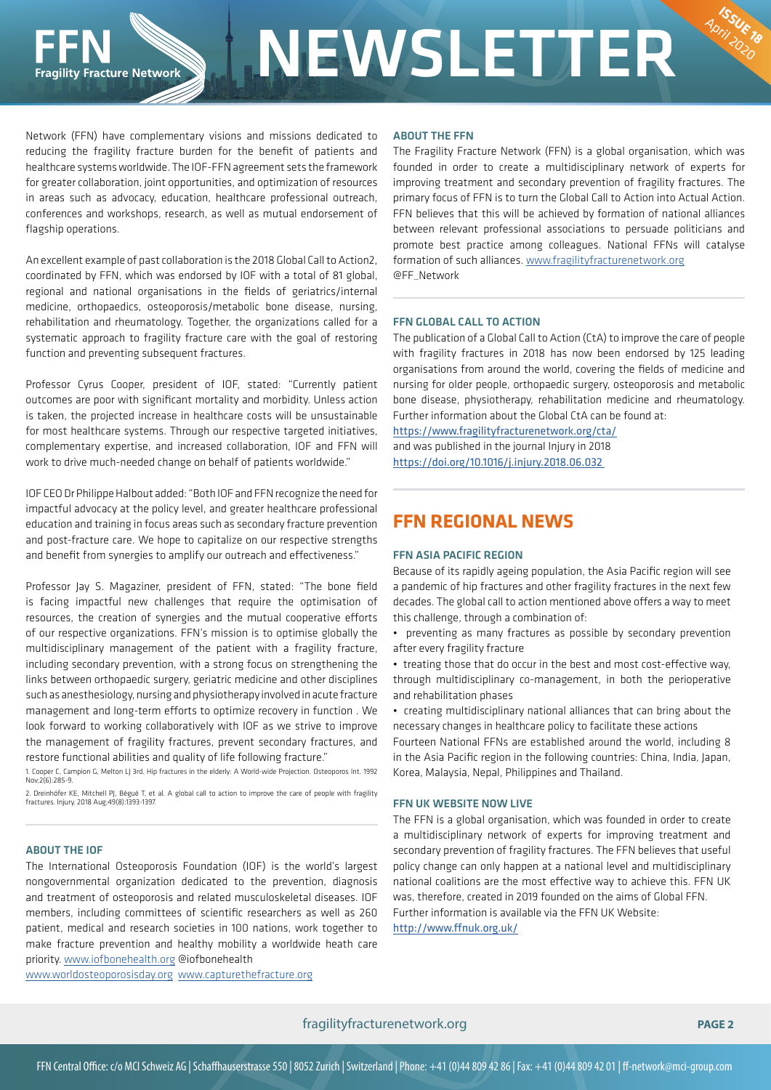# **NEWSLETTER**

Network (FFN) have complementary visions and missions dedicated to reducing the fragility fracture burden for the benefit of patients and healthcare systems worldwide. The IOF-FFN agreement sets the framework for greater collaboration, joint opportunities, and optimization of resources in areas such as advocacy, education, healthcare professional outreach, conferences and workshops, research, as well as mutual endorsement of flagship operations.

An excellent example of past collaboration is the 2018 Global Call to Action2, coordinated by FFN, which was endorsed by IOF with a total of 81 global, regional and national organisations in the fields of geriatrics/internal medicine, orthopaedics, osteoporosis/metabolic bone disease, nursing, rehabilitation and rheumatology. Together, the organizations called for a systematic approach to fragility fracture care with the goal of restoring function and preventing subsequent fractures.

Professor Cyrus Cooper, president of IOF, stated: "Currently patient outcomes are poor with significant mortality and morbidity. Unless action is taken, the projected increase in healthcare costs will be unsustainable for most healthcare systems. Through our respective targeted initiatives, complementary expertise, and increased collaboration, IOF and FFN will work to drive much-needed change on behalf of patients worldwide."

IOF CEO Dr Philippe Halbout added: "Both IOF and FFN recognize the need for impactful advocacy at the policy level, and greater healthcare professional education and training in focus areas such as secondary fracture prevention and post-fracture care. We hope to capitalize on our respective strengths and benefit from synergies to amplify our outreach and effectiveness."

Professor Jay S. Magaziner, president of FFN, stated: "The bone field is facing impactful new challenges that require the optimisation of resources, the creation of synergies and the mutual cooperative efforts of our respective organizations. FFN's mission is to optimise globally the multidisciplinary management of the patient with a fragility fracture, including secondary prevention, with a strong focus on strengthening the links between orthopaedic surgery, geriatric medicine and other disciplines such as anesthesiology, nursing and physiotherapy involved in acute fracture management and long-term efforts to optimize recovery in function . We look forward to working collaboratively with IOF as we strive to improve the management of fragility fractures, prevent secondary fractures, and restore functional abilities and quality of life following fracture."

1. Cooper C, Campion G, Melton LJ 3rd. Hip fractures in the elderly: A World-wide Projection. Osteoporos Int. 1992 Nov;2(6):285-9.

2. Dreinhöfer KE, Mitchell PJ, Bégué T, et al. A global call to action to improve the care of people with fragility fractures. Injury. 2018 Aug;49(8):1393-1397.

## ABOUT THE IOF

The International Osteoporosis Foundation (IOF) is the world's largest nongovernmental organization dedicated to the prevention, diagnosis and treatment of osteoporosis and related musculoskeletal diseases. IOF members, including committees of scientific researchers as well as 260 patient, medical and research societies in 100 nations, work together to make fracture prevention and healthy mobility a worldwide heath care priority. www.iofbonehealth.org @iofbonehealth

www.worldosteoporosisday.org www.capturethefracture.org

# ABOUT THE FFN

The Fragility Fracture Network (FFN) is a global organisation, which was founded in order to create a multidisciplinary network of experts for improving treatment and secondary prevention of fragility fractures. The primary focus of FFN is to turn the Global Call to Action into Actual Action. FFN believes that this will be achieved by formation of national alliances between relevant professional associations to persuade politicians and promote best practice among colleagues. National FFNs will catalyse formation of such alliances. www.fragilityfracturenetwork.org @FF\_Network

April 2020

## FFN GLOBAL CALL TO ACTION

The publication of a Global Call to Action (CtA) to improve the care of people with fragility fractures in 2018 has now been endorsed by 125 leading organisations from around the world, covering the fields of medicine and nursing for older people, orthopaedic surgery, osteoporosis and metabolic bone disease, physiotherapy, rehabilitation medicine and rheumatology. Further information about the Global CtA can be found at:

https://www.fragilityfracturenetwork.org/cta/ and was published in the journal Injury in 2018 https://doi.org/10.1016/j.injury.2018.06.032

# **FFN REGIONAL NEWS**

# FFN ASIA PACIFIC REGION

Because of its rapidly ageing population, the Asia Pacific region will see a pandemic of hip fractures and other fragility fractures in the next few decades. The global call to action mentioned above offers a way to meet this challenge, through a combination of:

• preventing as many fractures as possible by secondary prevention after every fragility fracture

• treating those that do occur in the best and most cost-effective way, through multidisciplinary co-management, in both the perioperative and rehabilitation phases

• creating multidisciplinary national alliances that can bring about the necessary changes in healthcare policy to facilitate these actions

Fourteen National FFNs are established around the world, including 8 in the Asia Pacific region in the following countries: China, India, Japan, Korea, Malaysia, Nepal, Philippines and Thailand.

# FFN UK WEBSITE NOW LIVE

The FFN is a global organisation, which was founded in order to create a multidisciplinary network of experts for improving treatment and secondary prevention of fragility fractures. The FFN believes that useful policy change can only happen at a national level and multidisciplinary national coalitions are the most effective way to achieve this. FFN UK was, therefore, created in 2019 founded on the aims of Global FFN. Further information is available via the FFN UK Website: http://www.ffnuk.org.uk/

fragilityfracturenetwork.org **PAGE 2**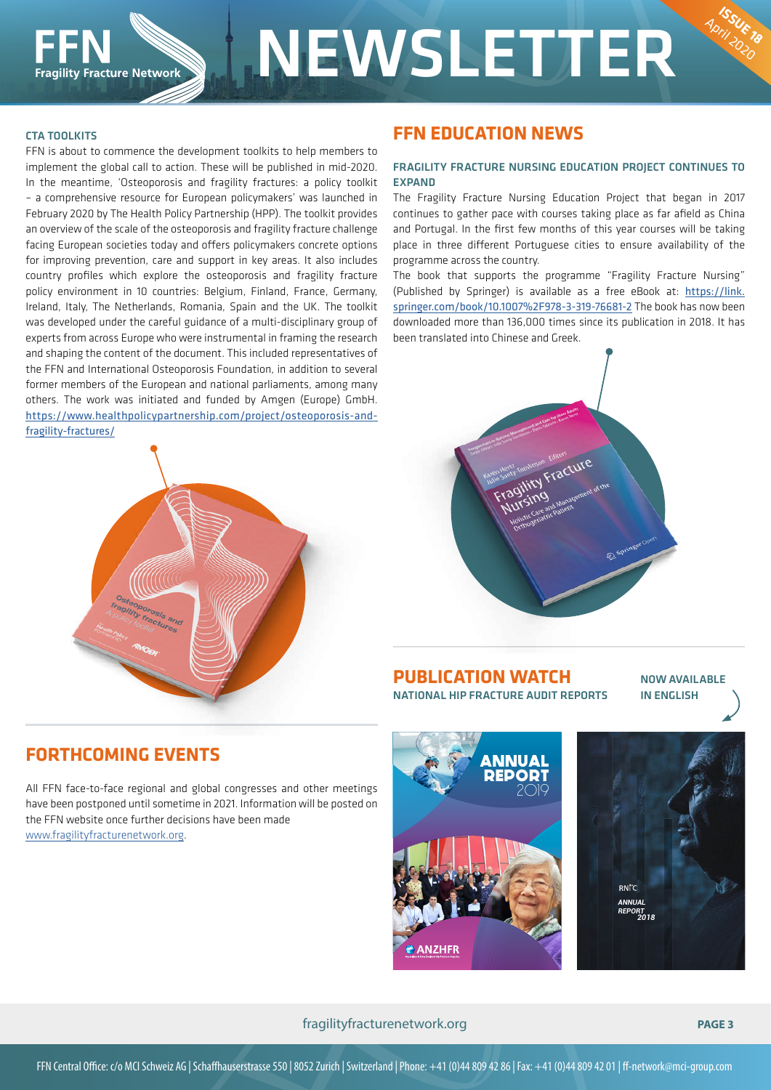# CTA TOOLKITS

FFN is about to commence the development toolkits to help members to implement the global call to action. These will be published in mid-2020. In the meantime, 'Osteoporosis and fragility fractures: a policy toolkit – a comprehensive resource for European policymakers' was launched in February 2020 by The Health Policy Partnership (HPP). The toolkit provides an overview of the scale of the osteoporosis and fragility fracture challenge facing European societies today and offers policymakers concrete options for improving prevention, care and support in key areas. It also includes country profiles which explore the osteoporosis and fragility fracture policy environment in 10 countries: Belgium, Finland, France, Germany, Ireland, Italy, The Netherlands, Romania, Spain and the UK. The toolkit was developed under the careful guidance of a multi-disciplinary group of experts from across Europe who were instrumental in framing the research and shaping the content of the document. This included representatives of the FFN and International Osteoporosis Foundation, in addition to several former members of the European and national parliaments, among many others. The work was initiated and funded by Amgen (Europe) GmbH. https://www.healthpolicypartnership.com/project/osteoporosis-andfragility-fractures/



# **FFN EDUCATION NEWS**

# FRAGILITY FRACTURE NURSING EDUCATION PROJECT CONTINUES TO **EXPAND**

The Fragility Fracture Nursing Education Project that began in 2017 continues to gather pace with courses taking place as far afield as China and Portugal. In the first few months of this year courses will be taking place in three different Portuguese cities to ensure availability of the programme across the country.

The book that supports the programme "Fragility Fracture Nursing" (Published by Springer) is available as a free eBook at: https://link. springer.com/book/10.1007%2F978-3-319-76681-2 The book has now been downloaded more than 136,000 times since its publication in 2018. It has been translated into Chinese and Greek.



**PUBLICATION WATCH** NATIONAL HIP FRACTURE AUDIT REPORTS

NOW AVAILABLE IN ENGLISH

April 2020

# **FORTHCOMING EVENTS**

All FFN face-to-face regional and global congresses and other meetings have been postponed until sometime in 2021. Information will be posted on the FFN website once further decisions have been made www.fragilityfracturenetwork.org.





# fragilityfracturenetwork.org **PAGE 3**